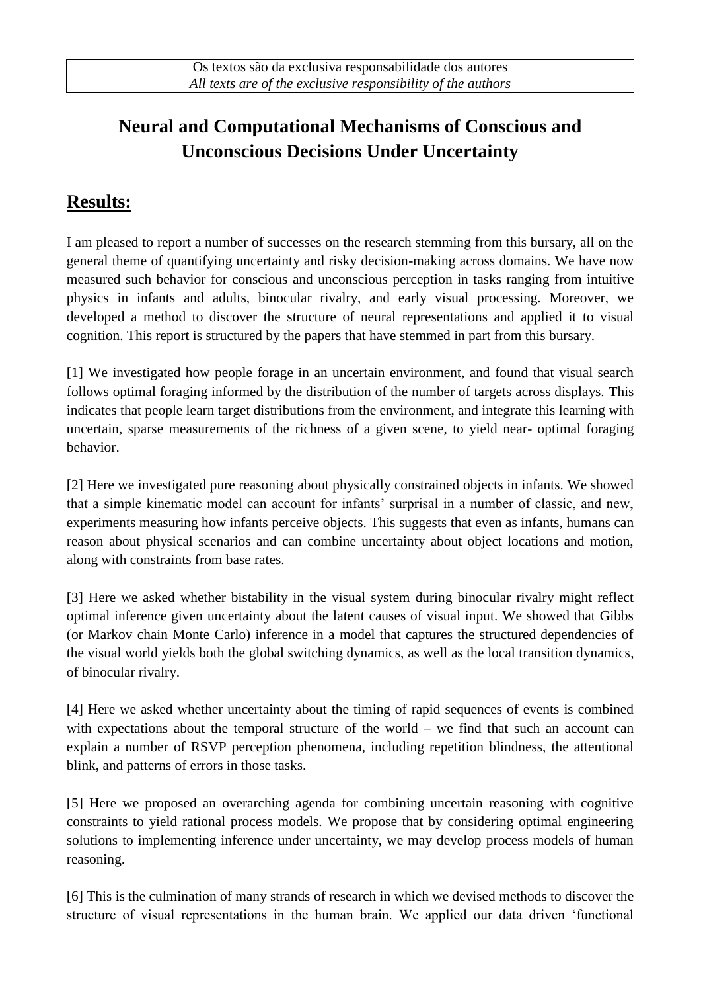# **Neural and Computational Mechanisms of Conscious and Unconscious Decisions Under Uncertainty**

## **Results:**

I am pleased to report a number of successes on the research stemming from this bursary, all on the general theme of quantifying uncertainty and risky decision-making across domains. We have now measured such behavior for conscious and unconscious perception in tasks ranging from intuitive physics in infants and adults, binocular rivalry, and early visual processing. Moreover, we developed a method to discover the structure of neural representations and applied it to visual cognition. This report is structured by the papers that have stemmed in part from this bursary.

[1] We investigated how people forage in an uncertain environment, and found that visual search follows optimal foraging informed by the distribution of the number of targets across displays. This indicates that people learn target distributions from the environment, and integrate this learning with uncertain, sparse measurements of the richness of a given scene, to yield near- optimal foraging behavior.

[2] Here we investigated pure reasoning about physically constrained objects in infants. We showed that a simple kinematic model can account for infants' surprisal in a number of classic, and new, experiments measuring how infants perceive objects. This suggests that even as infants, humans can reason about physical scenarios and can combine uncertainty about object locations and motion, along with constraints from base rates.

[3] Here we asked whether bistability in the visual system during binocular rivalry might reflect optimal inference given uncertainty about the latent causes of visual input. We showed that Gibbs (or Markov chain Monte Carlo) inference in a model that captures the structured dependencies of the visual world yields both the global switching dynamics, as well as the local transition dynamics, of binocular rivalry.

[4] Here we asked whether uncertainty about the timing of rapid sequences of events is combined with expectations about the temporal structure of the world – we find that such an account can explain a number of RSVP perception phenomena, including repetition blindness, the attentional blink, and patterns of errors in those tasks.

[5] Here we proposed an overarching agenda for combining uncertain reasoning with cognitive constraints to yield rational process models. We propose that by considering optimal engineering solutions to implementing inference under uncertainty, we may develop process models of human reasoning.

[6] This is the culmination of many strands of research in which we devised methods to discover the structure of visual representations in the human brain. We applied our data driven 'functional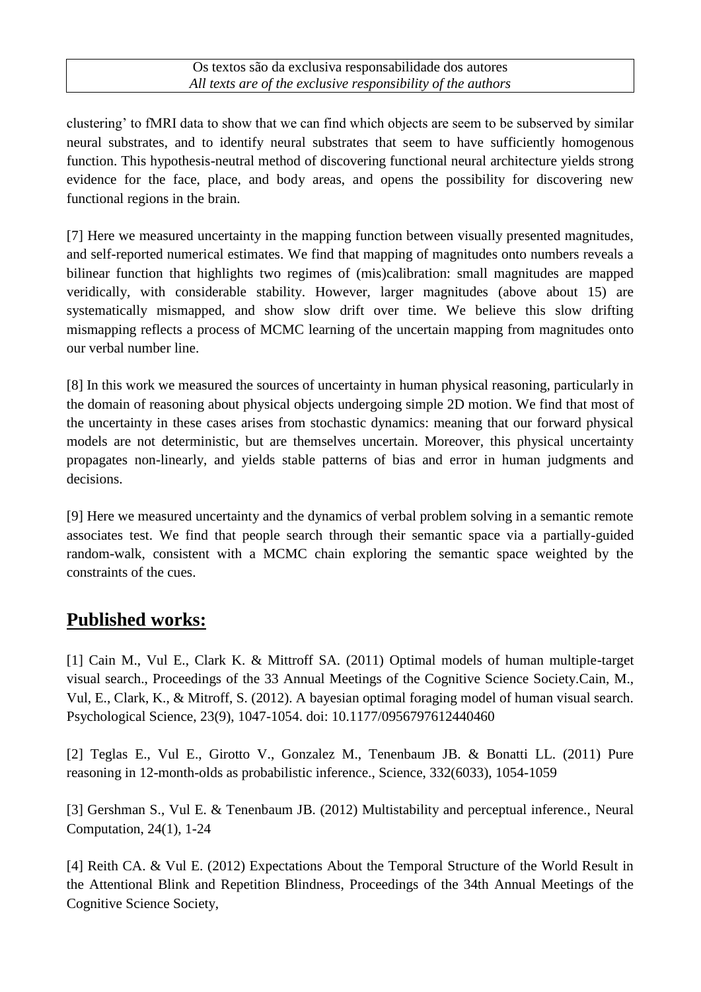#### Os textos são da exclusiva responsabilidade dos autores *All texts are of the exclusive responsibility of the authors*

clustering' to fMRI data to show that we can find which objects are seem to be subserved by similar neural substrates, and to identify neural substrates that seem to have sufficiently homogenous function. This hypothesis-neutral method of discovering functional neural architecture yields strong evidence for the face, place, and body areas, and opens the possibility for discovering new functional regions in the brain.

[7] Here we measured uncertainty in the mapping function between visually presented magnitudes, and self-reported numerical estimates. We find that mapping of magnitudes onto numbers reveals a bilinear function that highlights two regimes of (mis)calibration: small magnitudes are mapped veridically, with considerable stability. However, larger magnitudes (above about 15) are systematically mismapped, and show slow drift over time. We believe this slow drifting mismapping reflects a process of MCMC learning of the uncertain mapping from magnitudes onto our verbal number line.

[8] In this work we measured the sources of uncertainty in human physical reasoning, particularly in the domain of reasoning about physical objects undergoing simple 2D motion. We find that most of the uncertainty in these cases arises from stochastic dynamics: meaning that our forward physical models are not deterministic, but are themselves uncertain. Moreover, this physical uncertainty propagates non-linearly, and yields stable patterns of bias and error in human judgments and decisions.

[9] Here we measured uncertainty and the dynamics of verbal problem solving in a semantic remote associates test. We find that people search through their semantic space via a partially-guided random-walk, consistent with a MCMC chain exploring the semantic space weighted by the constraints of the cues.

### **Published works:**

[1] Cain M., Vul E., Clark K. & Mittroff SA. (2011) Optimal models of human multiple-target visual search., Proceedings of the 33 Annual Meetings of the Cognitive Science Society.Cain, M., Vul, E., Clark, K., & Mitroff, S. (2012). A bayesian optimal foraging model of human visual search. Psychological Science, 23(9), 1047-1054. doi: 10.1177/0956797612440460

[2] Teglas E., Vul E., Girotto V., Gonzalez M., Tenenbaum JB. & Bonatti LL. (2011) Pure reasoning in 12-month-olds as probabilistic inference., Science, 332(6033), 1054-1059

[3] Gershman S., Vul E. & Tenenbaum JB. (2012) Multistability and perceptual inference., Neural Computation, 24(1), 1-24

[4] Reith CA. & Vul E. (2012) Expectations About the Temporal Structure of the World Result in the Attentional Blink and Repetition Blindness, Proceedings of the 34th Annual Meetings of the Cognitive Science Society,